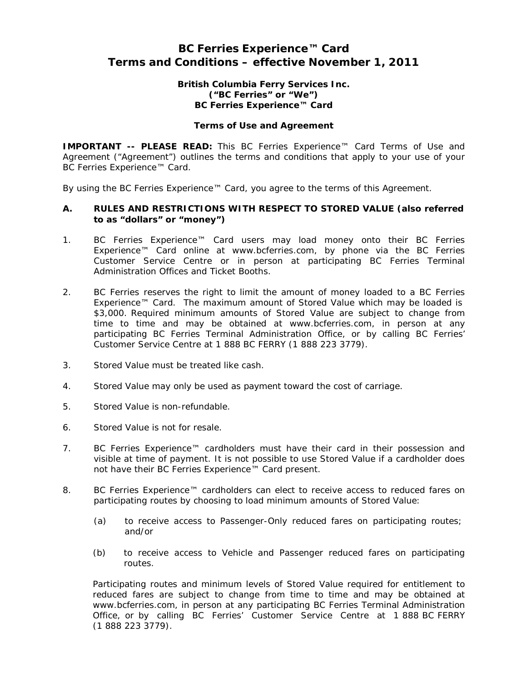# **BC Ferries Experience™ Card Terms and Conditions – effective November 1, 2011**

# **British Columbia Ferry Services Inc. ("BC Ferries" or "We") BC Ferries Experience™ Card**

#### **Terms of Use and Agreement**

**IMPORTANT -- PLEASE READ:** This BC Ferries Experience™ Card Terms of Use and Agreement ("Agreement") outlines the terms and conditions that apply to your use of your BC Ferries Experience™ Card.

By using the BC Ferries Experience™ Card, you agree to the terms of this Agreement.

# **A. RULES AND RESTRICTIONS WITH RESPECT TO STORED VALUE (also referred to as "dollars" or "money")**

- 1. BC Ferries Experience™ Card users may load money onto their BC Ferries Experience™ Card online at [www.bcferries.com,](http://www.bcferries.com/) by phone via the BC Ferries Customer Service Centre or in person at participating BC Ferries Terminal Administration Offices and Ticket Booths.
- 2. BC Ferries reserves the right to limit the amount of money loaded to a BC Ferries Experience™ Card. The maximum amount of Stored Value which may be loaded is \$3,000. Required minimum amounts of Stored Value are subject to change from time to time and may be obtained at [www.bcferries.com,](http://www.bcferries.com/) in person at any participating BC Ferries Terminal Administration Office, or by calling BC Ferries' Customer Service Centre at 1 888 BC FERRY (1 888 223 3779).
- 3. Stored Value must be treated like cash.
- 4. Stored Value may only be used as payment toward the cost of carriage.
- 5. Stored Value is non-refundable.
- 6. Stored Value is not for resale.
- 7. BC Ferries Experience™ cardholders must have their card in their possession and visible at time of payment. It is not possible to use Stored Value if a cardholder does not have their BC Ferries Experience™ Card present.
- 8. BC Ferries Experience™ cardholders can elect to receive access to reduced fares on participating routes by choosing to load minimum amounts of Stored Value:
	- (a) to receive access to Passenger-Only reduced fares on participating routes; and/or
	- (b) to receive access to Vehicle and Passenger reduced fares on participating routes.

Participating routes and minimum levels of Stored Value required for entitlement to reduced fares are subject to change from time to time and may be obtained a[t](http://www.bcferries.com/) [www.bcferries.com,](http://www.bcferries.com/) in person at any participating BC Ferries Terminal Administration Office, or by calling BC Ferries' Customer Service Centre at 1 888 BC FERRY (1 888 223 3779).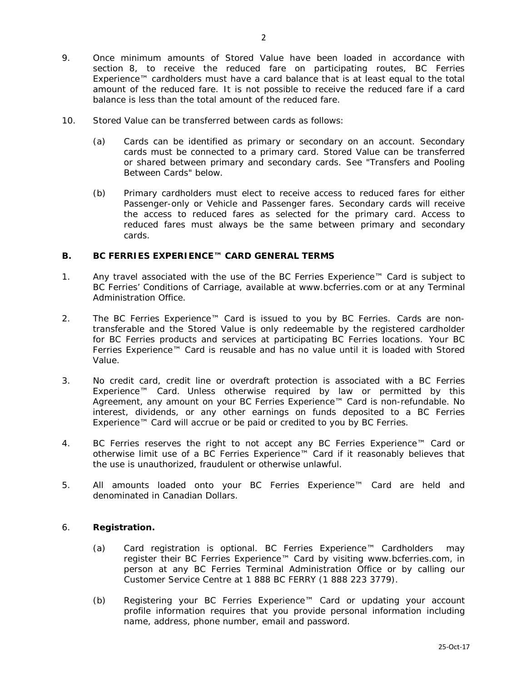- 9. Once minimum amounts of Stored Value have been loaded in accordance with section 8, to receive the reduced fare on participating routes, BC Ferries Experience™ cardholders must have a card balance that is at least equal to the total amount of the reduced fare. It is not possible to receive the reduced fare if a card balance is less than the total amount of the reduced fare.
- 10. Stored Value can be transferred between cards as follows:
	- (a) Cards can be identified as primary or secondary on an account. Secondary cards must be connected to a primary card. Stored Value can be transferred or shared between primary and secondary cards. See *"Transfers and Pooling Between Cards"* below.
	- (b) Primary cardholders must elect to receive access to reduced fares for either Passenger-only or Vehicle and Passenger fares. Secondary cards will receive the access to reduced fares as selected for the primary card. Access to reduced fares must always be the same between primary and secondary cards.

# **B. BC FERRIES EXPERIENCE™ CARD GENERAL TERMS**

- 1. Any travel associated with the use of the BC Ferries Experience™ Card is subject to BC Ferries' Conditions of Carriage, available at [www.bcferries.com](http://www.bcferries.com/) or at any Terminal Administration Office.
- 2. The BC Ferries Experience™ Card is issued to you by BC Ferries. Cards are nontransferable and the Stored Value is only redeemable by the registered cardholder for BC Ferries products and services at participating BC Ferries locations. Your BC Ferries Experience™ Card is reusable and has no value until it is loaded with Stored Value.
- 3. No credit card, credit line or overdraft protection is associated with a BC Ferries Experience™ Card. Unless otherwise required by law or permitted by this Agreement, any amount on your BC Ferries Experience™ Card is non-refundable. No interest, dividends, or any other earnings on funds deposited to a BC Ferries Experience™ Card will accrue or be paid or credited to you by BC Ferries.
- 4. BC Ferries reserves the right to not accept any BC Ferries Experience™ Card or otherwise limit use of a BC Ferries Experience™ Card if it reasonably believes that the use is unauthorized, fraudulent or otherwise unlawful.
- 5. All amounts loaded onto your BC Ferries Experience™ Card are held and denominated in Canadian Dollars.

# 6. **Registration.**

- (a) Card registration is optional. BC Ferries Experience™ Cardholders may register their BC Ferries Experience™ Card by visiting [www.bcferries.com,](http://www.bcferries.com/) in person at any BC Ferries Terminal Administration Office or by calling our Customer Service Centre at 1 888 BC FERRY (1 888 223 3779).
- (b) Registering your BC Ferries Experience™ Card or updating your account profile information requires that you provide personal information including name, address, phone number, email and password.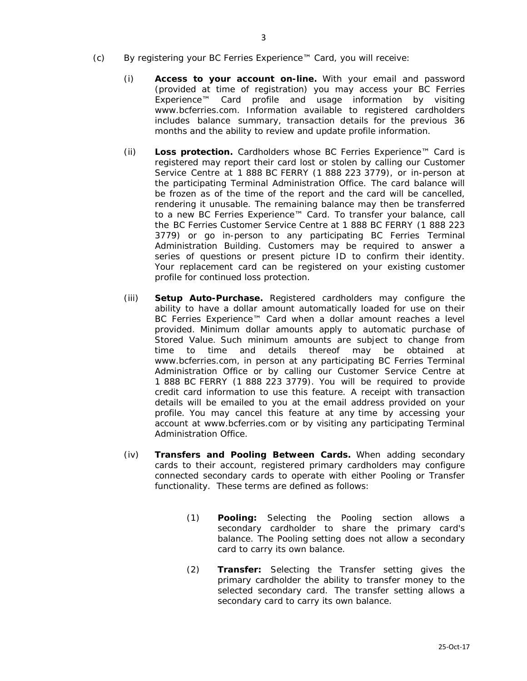- (c) By registering your BC Ferries Experience™ Card, you will receive:
	- (i) **Access to your account on-line.** With your email and password (provided at time of registration) you may access your BC Ferries Experience™ Card profile and usage information by visitin[g](http://www.bcferries.com/) [www.bcferries.com.](http://www.bcferries.com/) Information available to registered cardholders includes balance summary, transaction details for the previous 36 months and the ability to review and update profile information.
	- (ii) **Loss protection.** Cardholders whose BC Ferries Experience™ Card is registered may report their card lost or stolen by calling our Customer Service Centre at 1 888 BC FERRY (1 888 223 3779), or in-person at the participating Terminal Administration Office. The card balance will be frozen as of the time of the report and the card will be cancelled, rendering it unusable. The remaining balance may then be transferred to a new BC Ferries Experience™ Card. To transfer your balance, call the BC Ferries Customer Service Centre at 1 888 BC FERRY (1 888 223 3779) or go in-person to any participating BC Ferries Terminal Administration Building. Customers may be required to answer a series of questions or present picture ID to confirm their identity. Your replacement card can be registered on your existing customer profile for continued loss protection.
	- (iii) **Setup Auto-Purchase.** Registered cardholders may configure the ability to have a dollar amount automatically loaded for use on their BC Ferries Experience™ Card when a dollar amount reaches a level provided. Minimum dollar amounts apply to automatic purchase of Stored Value. Such minimum amounts are subject to change from time to time and details thereof may be obtained a[t](http://www.bcferries.com/) [www.bcferries.com,](http://www.bcferries.com/) in person at any participating BC Ferries Terminal Administration Office or by calling our Customer Service Centre at 1 888 BC FERRY (1 888 223 3779). You will be required to provide credit card information to use this feature. A receipt with transaction details will be emailed to you at the email address provided on your profile. You may cancel this feature at any time by accessing your account at [www.bcferries.com](http://www.bcferries.com/) or by visiting any participating Terminal Administration Office.
	- (iv) **Transfers and Pooling Between Cards.** When adding secondary cards to their account, registered primary cardholders may configure connected secondary cards to operate with either Pooling or Transfer functionality. These terms are defined as follows:
		- (1) **Pooling:** Selecting the Pooling section allows a secondary cardholder to share the primary card's balance. The Pooling setting does not allow a secondary card to carry its own balance.
		- (2) **Transfer:** Selecting the Transfer setting gives the primary cardholder the ability to transfer money to the selected secondary card. The transfer setting allows a secondary card to carry its own balance.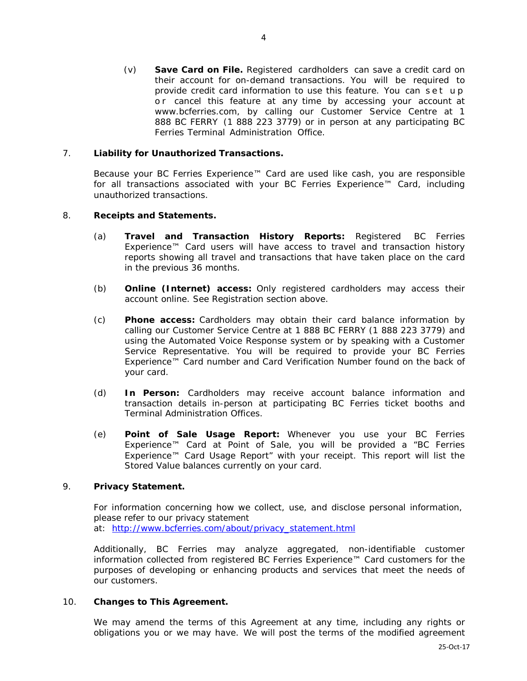(v) **Save Card on File.** Registered cardholders can save a credit card on their account for on-demand transactions. You will be required to provide credit card information to use this feature. You can set up or cancel this feature at any time by accessing your account at [www.bcferries.com,](http://www.bcferries.com/) by calling our Customer Service Centre at 1 888 BC FERRY (1 888 223 3779) or in person at any participating BC Ferries Terminal Administration Office.

# 7. **Liability for Unauthorized Transactions.**

Because your BC Ferries Experience™ Card are used like cash, you are responsible for all transactions associated with your BC Ferries Experience™ Card, including unauthorized transactions.

# 8. **Receipts and Statements.**

- (a) **Travel and Transaction History Reports:** Registered BC Ferries Experience™ Card users will have access to travel and transaction history reports showing all travel and transactions that have taken place on the card in the previous 36 months.
- (b) **Online (Internet) access:** Only registered cardholders may access their account online. See Registration section above.
- (c) **Phone access:** Cardholders may obtain their card balance information by calling our Customer Service Centre at 1 888 BC FERRY (1 888 223 3779) and using the Automated Voice Response system or by speaking with a Customer Service Representative. You will be required to provide your BC Ferries Experience™ Card number and Card Verification Number found on the back of your card.
- (d) **In Person:** Cardholders may receive account balance information and transaction details in-person at participating BC Ferries ticket booths and Terminal Administration Offices.
- (e) **Point of Sale Usage Report:** Whenever you use your BC Ferries Experience™ Card at Point of Sale, you will be provided a "BC Ferries Experience™ Card Usage Report" with your receipt. This report will list the Stored Value balances currently on your card.

# 9. **Privacy Statement.**

For information concerning how we collect, use, and disclose personal information, please refer to our privacy statement at: [http://www.bcferries.com/about/privacy\\_statement.html](http://www.bcferries.com/about/privacy_statement.html)

Additionally, BC Ferries may analyze aggregated, non-identifiable customer information collected from registered BC Ferries Experience™ Card customers for the purposes of developing or enhancing products and services that meet the needs of our customers.

#### 10. **Changes to This Agreement.**

We may amend the terms of this Agreement at any time, including any rights or obligations you or we may have. We will post the terms of the modified agreement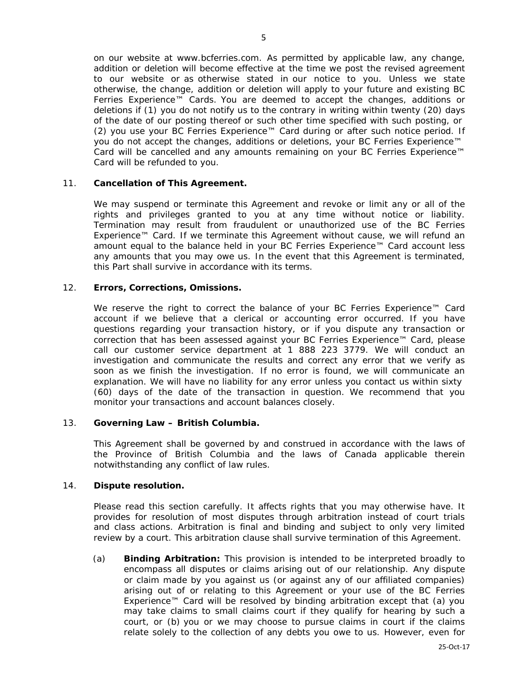on our website at [www.bcferries.com.](http://www.bcferries.com/) As permitted by applicable law, any change, addition or deletion will become effective at the time we post the revised agreement to our website or as otherwise stated in our notice to you. Unless we state otherwise, the change, addition or deletion will apply to your future and existing BC Ferries Experience™ Cards. You are deemed to accept the changes, additions or deletions if (1) you do not notify us to the contrary in writing within twenty (20) days of the date of our posting thereof or such other time specified with such posting, or (2) you use your BC Ferries Experience™ Card during or after such notice period. If you do not accept the changes, additions or deletions, your BC Ferries Experience™ Card will be cancelled and any amounts remaining on your BC Ferries Experience™ Card will be refunded to you.

#### 11. **Cancellation of This Agreement.**

We may suspend or terminate this Agreement and revoke or limit any or all of the rights and privileges granted to you at any time without notice or liability. Termination may result from fraudulent or unauthorized use of the BC Ferries Experience™ Card. If we terminate this Agreement without cause, we will refund an amount equal to the balance held in your BC Ferries Experience™ Card account less any amounts that you may owe us. In the event that this Agreement is terminated, this Part shall survive in accordance with its terms.

# 12. **Errors, Corrections, Omissions.**

We reserve the right to correct the balance of your BC Ferries Experience<sup>™</sup> Card account if we believe that a clerical or accounting error occurred. If you have questions regarding your transaction history, or if you dispute any transaction or correction that has been assessed against your BC Ferries Experience™ Card, please call our customer service department at 1 888 223 3779. We will conduct an investigation and communicate the results and correct any error that we verify as soon as we finish the investigation. If no error is found, we will communicate an explanation. We will have no liability for any error unless you contact us within sixty (60) days of the date of the transaction in question. We recommend that you monitor your transactions and account balances closely.

#### 13. **Governing Law – British Columbia.**

This Agreement shall be governed by and construed in accordance with the laws of the Province of British Columbia and the laws of Canada applicable therein notwithstanding any conflict of law rules.

#### 14. **Dispute resolution.**

Please read this section carefully. It affects rights that you may otherwise have. It provides for resolution of most disputes through arbitration instead of court trials and class actions. Arbitration is final and binding and subject to only very limited review by a court. This arbitration clause shall survive termination of this Agreement.

(a) **Binding Arbitration:** This provision is intended to be interpreted broadly to encompass all disputes or claims arising out of our relationship. Any dispute or claim made by you against us (or against any of our affiliated companies) arising out of or relating to this Agreement or your use of the BC Ferries Experience™ Card will be resolved by binding arbitration except that (a) you may take claims to small claims court if they qualify for hearing by such a court, or (b) you or we may choose to pursue claims in court if the claims relate solely to the collection of any debts you owe to us. However, even for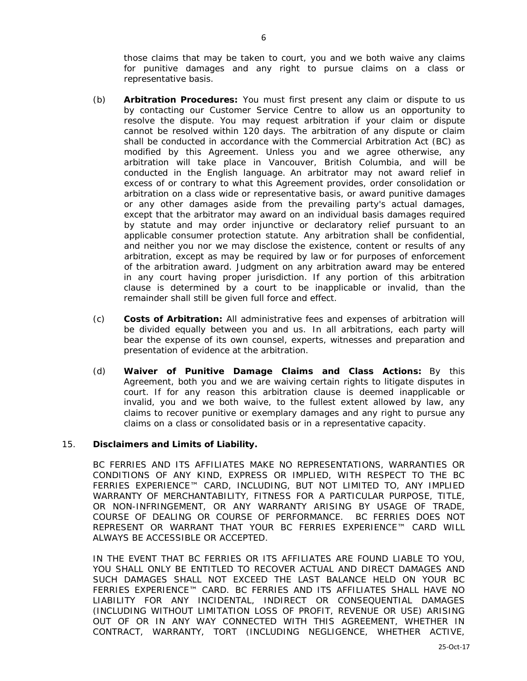those claims that may be taken to court, you and we both waive any claims for punitive damages and any right to pursue claims on a class or representative basis.

- (b) **Arbitration Procedures:** You must first present any claim or dispute to us by contacting our Customer Service Centre to allow us an opportunity to resolve the dispute. You may request arbitration if your claim or dispute cannot be resolved within 120 days. The arbitration of any dispute or claim shall be conducted in accordance with the Commercial Arbitration Act (BC) as modified by this Agreement. Unless you and we agree otherwise, any arbitration will take place in Vancouver, British Columbia, and will be conducted in the English language. An arbitrator may not award relief in excess of or contrary to what this Agreement provides, order consolidation or arbitration on a class wide or representative basis, or award punitive damages or any other damages aside from the prevailing party's actual damages, except that the arbitrator may award on an individual basis damages required by statute and may order injunctive or declaratory relief pursuant to an applicable consumer protection statute. Any arbitration shall be confidential, and neither you nor we may disclose the existence, content or results of any arbitration, except as may be required by law or for purposes of enforcement of the arbitration award. Judgment on any arbitration award may be entered in any court having proper jurisdiction. If any portion of this arbitration clause is determined by a court to be inapplicable or invalid, than the remainder shall still be given full force and effect.
- (c) **Costs of Arbitration:** All administrative fees and expenses of arbitration will be divided equally between you and us. In all arbitrations, each party will bear the expense of its own counsel, experts, witnesses and preparation and presentation of evidence at the arbitration.
- (d) **Waiver of Punitive Damage Claims and Class Actions:** By this Agreement, both you and we are waiving certain rights to litigate disputes in court. If for any reason this arbitration clause is deemed inapplicable or invalid, you and we both waive, to the fullest extent allowed by law, any claims to recover punitive or exemplary damages and any right to pursue any claims on a class or consolidated basis or in a representative capacity.

#### 15. **Disclaimers and Limits of Liability.**

BC FERRIES AND ITS AFFILIATES MAKE NO REPRESENTATIONS, WARRANTIES OR CONDITIONS OF ANY KIND, EXPRESS OR IMPLIED, WITH RESPECT TO THE BC FERRIES EXPERIENCE™ CARD, INCLUDING, BUT NOT LIMITED TO, ANY IMPLIED WARRANTY OF MERCHANTABILITY, FITNESS FOR A PARTICULAR PURPOSE, TITLE, OR NON-INFRINGEMENT, OR ANY WARRANTY ARISING BY USAGE OF TRADE, COURSE OF DEALING OR COURSE OF PERFORMANCE. BC FERRIES DOES NOT REPRESENT OR WARRANT THAT YOUR BC FERRIES EXPERIENCE™ CARD WILL ALWAYS BE ACCESSIBLE OR ACCEPTED.

IN THE EVENT THAT BC FERRIES OR ITS AFFILIATES ARE FOUND LIABLE TO YOU, YOU SHALL ONLY BE ENTITLED TO RECOVER ACTUAL AND DIRECT DAMAGES AND SUCH DAMAGES SHALL NOT EXCEED THE LAST BALANCE HELD ON YOUR BC FERRIES EXPERIENCE™ CARD. BC FERRIES AND ITS AFFILIATES SHALL HAVE NO LIABILITY FOR ANY INCIDENTAL, INDIRECT OR CONSEQUENTIAL DAMAGES (INCLUDING WITHOUT LIMITATION LOSS OF PROFIT, REVENUE OR USE) ARISING OUT OF OR IN ANY WAY CONNECTED WITH THIS AGREEMENT, WHETHER IN CONTRACT, WARRANTY, TORT (INCLUDING NEGLIGENCE, WHETHER ACTIVE,